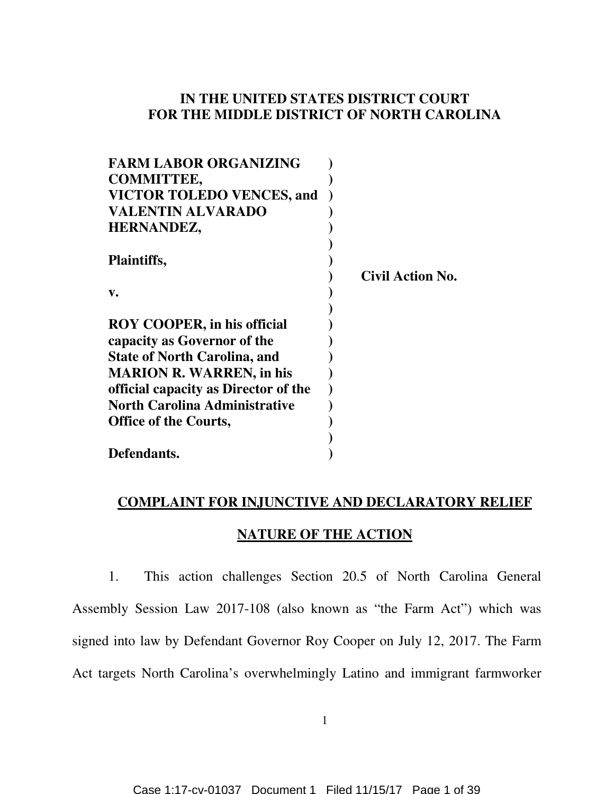## **IN THE UNITED STATES DISTRICT COURT FOR THE MIDDLE DISTRICT OF NORTH CAROLINA**

| <b>FARM LABOR ORGANIZING</b>         |                         |
|--------------------------------------|-------------------------|
| <b>COMMITTEE,</b>                    |                         |
| <b>VICTOR TOLEDO VENCES, and</b>     |                         |
| <b>VALENTIN ALVARADO</b>             |                         |
| HERNANDEZ,                           |                         |
|                                      |                         |
| <b>Plaintiffs,</b>                   |                         |
|                                      | <b>Civil Action No.</b> |
| $\mathbf{v}$ .                       |                         |
|                                      |                         |
| <b>ROY COOPER, in his official</b>   |                         |
| capacity as Governor of the          |                         |
| <b>State of North Carolina, and</b>  |                         |
| <b>MARION R. WARREN, in his</b>      |                         |
| official capacity as Director of the |                         |
| <b>North Carolina Administrative</b> |                         |
| <b>Office of the Courts,</b>         |                         |
|                                      |                         |
| Defendants.                          |                         |

# **COMPLAINT FOR INJUNCTIVE AND DECLARATORY RELIEF**

## **NATURE OF THE ACTION**

1. This action challenges Section 20.5 of North Carolina General Assembly Session Law 2017-108 (also known as "the Farm Act") which was signed into law by Defendant Governor Roy Cooper on July 12, 2017. The Farm Act targets North Carolina's overwhelmingly Latino and immigrant farmworker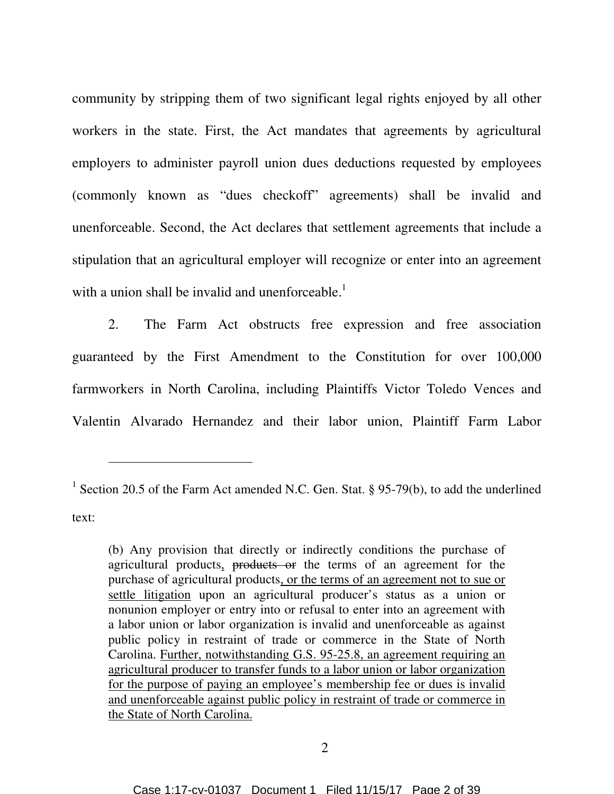community by stripping them of two significant legal rights enjoyed by all other workers in the state. First, the Act mandates that agreements by agricultural employers to administer payroll union dues deductions requested by employees (commonly known as "dues checkoff" agreements) shall be invalid and unenforceable. Second, the Act declares that settlement agreements that include a stipulation that an agricultural employer will recognize or enter into an agreement with a union shall be invalid and unenforceable. $<sup>1</sup>$ </sup>

2. The Farm Act obstructs free expression and free association guaranteed by the First Amendment to the Constitution for over 100,000 farmworkers in North Carolina, including Plaintiffs Victor Toledo Vences and Valentin Alvarado Hernandez and their labor union, Plaintiff Farm Labor

 $\overline{a}$ 

<sup>&</sup>lt;sup>1</sup> Section 20.5 of the Farm Act amended N.C. Gen. Stat. § 95-79(b), to add the underlined text:

<sup>(</sup>b) Any provision that directly or indirectly conditions the purchase of agricultural products, products or the terms of an agreement for the purchase of agricultural products, or the terms of an agreement not to sue or settle litigation upon an agricultural producer's status as a union or nonunion employer or entry into or refusal to enter into an agreement with a labor union or labor organization is invalid and unenforceable as against public policy in restraint of trade or commerce in the State of North Carolina. Further, notwithstanding G.S. 95-25.8, an agreement requiring an agricultural producer to transfer funds to a labor union or labor organization for the purpose of paying an employee's membership fee or dues is invalid and unenforceable against public policy in restraint of trade or commerce in the State of North Carolina.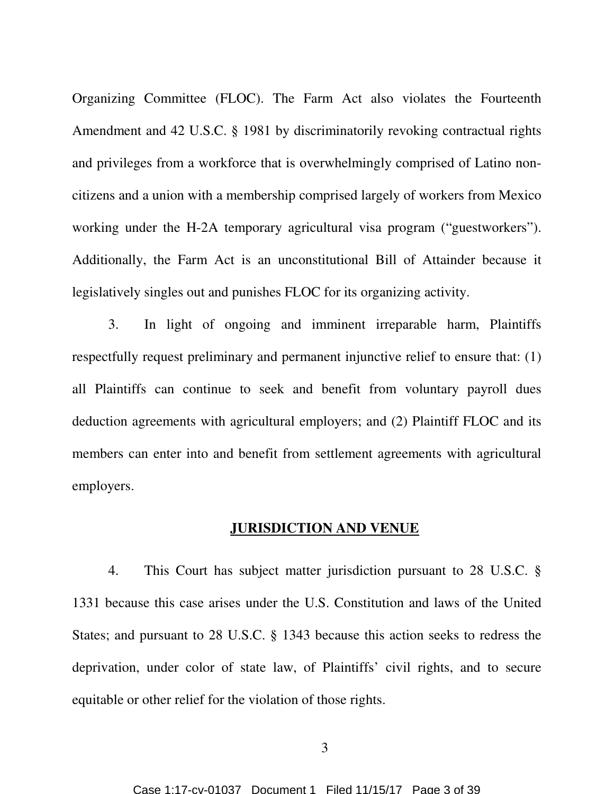Organizing Committee (FLOC). The Farm Act also violates the Fourteenth Amendment and 42 U.S.C. § 1981 by discriminatorily revoking contractual rights and privileges from a workforce that is overwhelmingly comprised of Latino noncitizens and a union with a membership comprised largely of workers from Mexico working under the H-2A temporary agricultural visa program ("guestworkers"). Additionally, the Farm Act is an unconstitutional Bill of Attainder because it legislatively singles out and punishes FLOC for its organizing activity.

3. In light of ongoing and imminent irreparable harm, Plaintiffs respectfully request preliminary and permanent injunctive relief to ensure that: (1) all Plaintiffs can continue to seek and benefit from voluntary payroll dues deduction agreements with agricultural employers; and (2) Plaintiff FLOC and its members can enter into and benefit from settlement agreements with agricultural employers.

#### **JURISDICTION AND VENUE**

4. This Court has subject matter jurisdiction pursuant to 28 U.S.C. § 1331 because this case arises under the U.S. Constitution and laws of the United States; and pursuant to 28 U.S.C. § 1343 because this action seeks to redress the deprivation, under color of state law, of Plaintiffs' civil rights, and to secure equitable or other relief for the violation of those rights.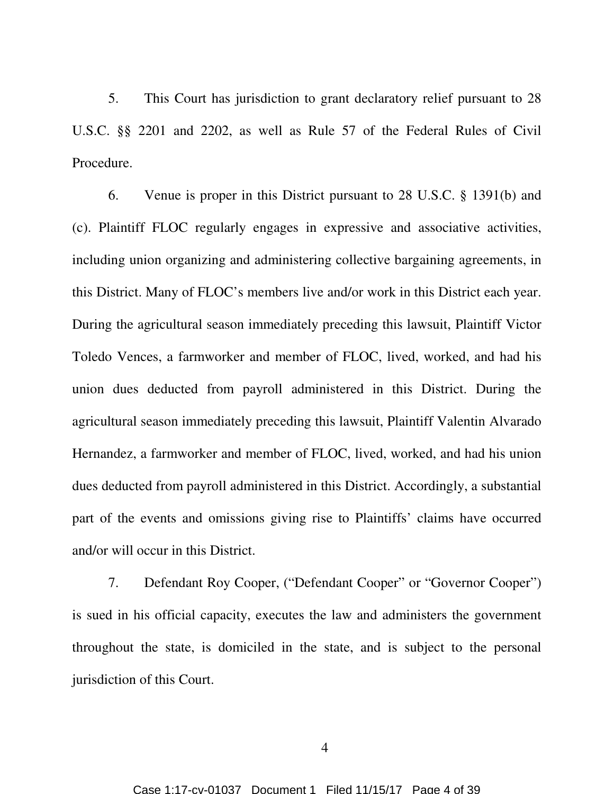5. This Court has jurisdiction to grant declaratory relief pursuant to 28 U.S.C. §§ 2201 and 2202, as well as Rule 57 of the Federal Rules of Civil Procedure.

6. Venue is proper in this District pursuant to 28 U.S.C. § 1391(b) and (c). Plaintiff FLOC regularly engages in expressive and associative activities, including union organizing and administering collective bargaining agreements, in this District. Many of FLOC's members live and/or work in this District each year. During the agricultural season immediately preceding this lawsuit, Plaintiff Victor Toledo Vences, a farmworker and member of FLOC, lived, worked, and had his union dues deducted from payroll administered in this District. During the agricultural season immediately preceding this lawsuit, Plaintiff Valentin Alvarado Hernandez, a farmworker and member of FLOC, lived, worked, and had his union dues deducted from payroll administered in this District. Accordingly, a substantial part of the events and omissions giving rise to Plaintiffs' claims have occurred and/or will occur in this District.

7. Defendant Roy Cooper, ("Defendant Cooper" or "Governor Cooper") is sued in his official capacity, executes the law and administers the government throughout the state, is domiciled in the state, and is subject to the personal jurisdiction of this Court.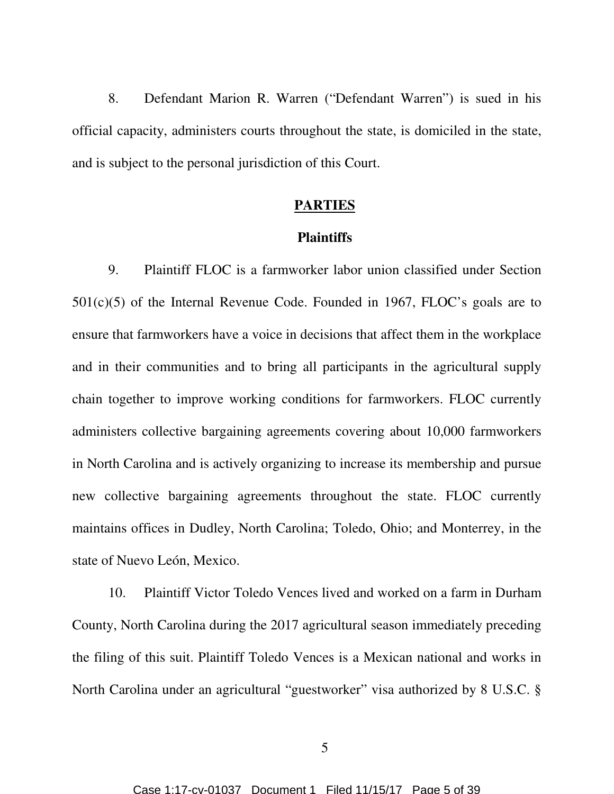8. Defendant Marion R. Warren ("Defendant Warren") is sued in his official capacity, administers courts throughout the state, is domiciled in the state, and is subject to the personal jurisdiction of this Court.

#### **PARTIES**

#### **Plaintiffs**

9. Plaintiff FLOC is a farmworker labor union classified under Section 501(c)(5) of the Internal Revenue Code. Founded in 1967, FLOC's goals are to ensure that farmworkers have a voice in decisions that affect them in the workplace and in their communities and to bring all participants in the agricultural supply chain together to improve working conditions for farmworkers. FLOC currently administers collective bargaining agreements covering about 10,000 farmworkers in North Carolina and is actively organizing to increase its membership and pursue new collective bargaining agreements throughout the state. FLOC currently maintains offices in Dudley, North Carolina; Toledo, Ohio; and Monterrey, in the state of Nuevo León, Mexico.

10. Plaintiff Victor Toledo Vences lived and worked on a farm in Durham County, North Carolina during the 2017 agricultural season immediately preceding the filing of this suit. Plaintiff Toledo Vences is a Mexican national and works in North Carolina under an agricultural "guestworker" visa authorized by 8 U.S.C. §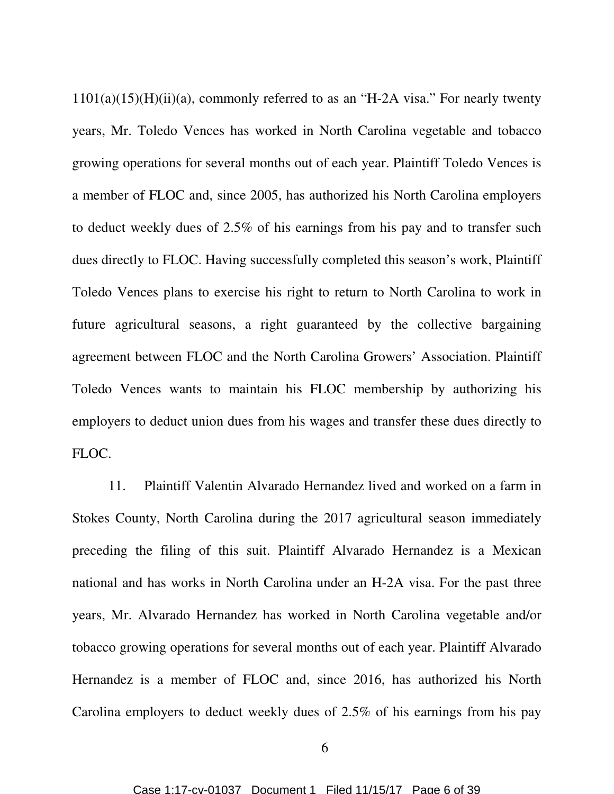$1101(a)(15)(H)(ii)(a)$ , commonly referred to as an "H-2A visa." For nearly twenty years, Mr. Toledo Vences has worked in North Carolina vegetable and tobacco growing operations for several months out of each year. Plaintiff Toledo Vences is a member of FLOC and, since 2005, has authorized his North Carolina employers to deduct weekly dues of 2.5% of his earnings from his pay and to transfer such dues directly to FLOC. Having successfully completed this season's work, Plaintiff Toledo Vences plans to exercise his right to return to North Carolina to work in future agricultural seasons, a right guaranteed by the collective bargaining agreement between FLOC and the North Carolina Growers' Association. Plaintiff Toledo Vences wants to maintain his FLOC membership by authorizing his employers to deduct union dues from his wages and transfer these dues directly to FLOC.

11. Plaintiff Valentin Alvarado Hernandez lived and worked on a farm in Stokes County, North Carolina during the 2017 agricultural season immediately preceding the filing of this suit. Plaintiff Alvarado Hernandez is a Mexican national and has works in North Carolina under an H-2A visa. For the past three years, Mr. Alvarado Hernandez has worked in North Carolina vegetable and/or tobacco growing operations for several months out of each year. Plaintiff Alvarado Hernandez is a member of FLOC and, since 2016, has authorized his North Carolina employers to deduct weekly dues of 2.5% of his earnings from his pay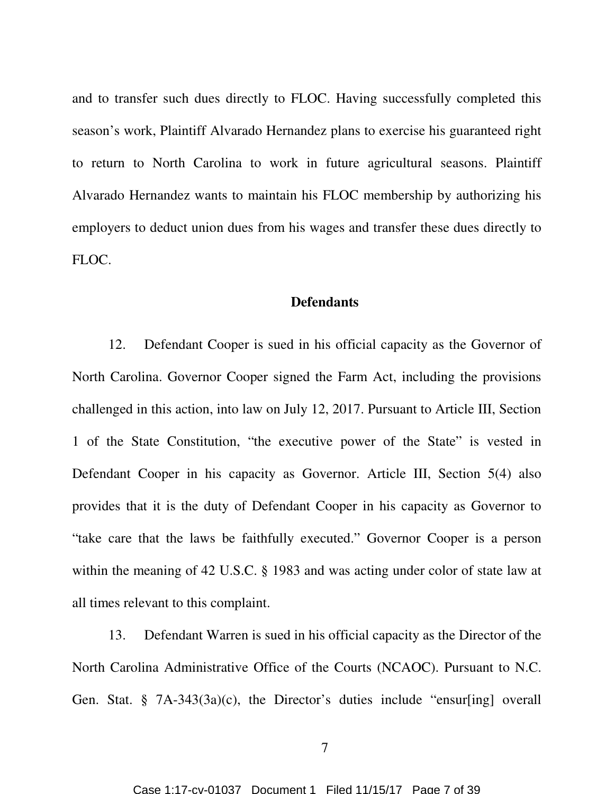and to transfer such dues directly to FLOC. Having successfully completed this season's work, Plaintiff Alvarado Hernandez plans to exercise his guaranteed right to return to North Carolina to work in future agricultural seasons. Plaintiff Alvarado Hernandez wants to maintain his FLOC membership by authorizing his employers to deduct union dues from his wages and transfer these dues directly to FLOC.

#### **Defendants**

12. Defendant Cooper is sued in his official capacity as the Governor of North Carolina. Governor Cooper signed the Farm Act, including the provisions challenged in this action, into law on July 12, 2017. Pursuant to Article III, Section 1 of the State Constitution, "the executive power of the State" is vested in Defendant Cooper in his capacity as Governor. Article III, Section 5(4) also provides that it is the duty of Defendant Cooper in his capacity as Governor to "take care that the laws be faithfully executed." Governor Cooper is a person within the meaning of 42 U.S.C. § 1983 and was acting under color of state law at all times relevant to this complaint.

13. Defendant Warren is sued in his official capacity as the Director of the North Carolina Administrative Office of the Courts (NCAOC). Pursuant to N.C. Gen. Stat. § 7A-343(3a)(c), the Director's duties include "ensur[ing] overall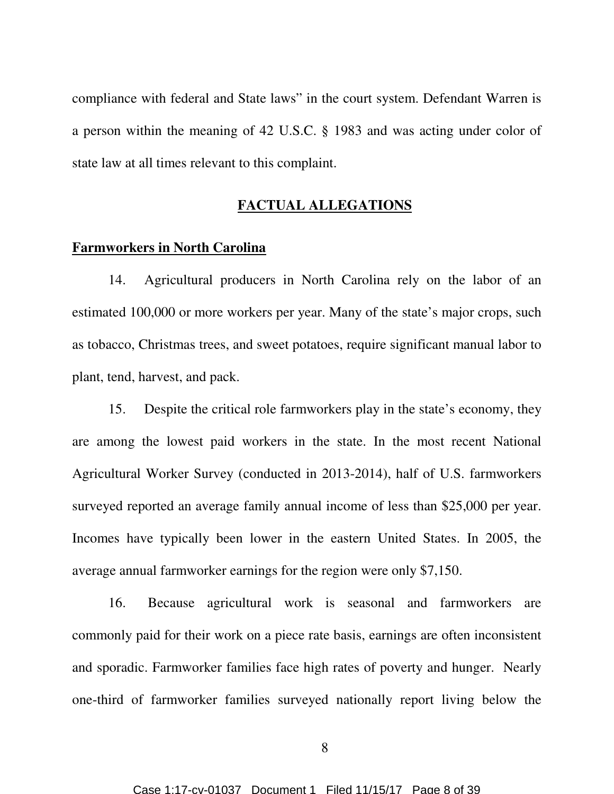compliance with federal and State laws" in the court system. Defendant Warren is a person within the meaning of 42 U.S.C. § 1983 and was acting under color of state law at all times relevant to this complaint.

## **FACTUAL ALLEGATIONS**

#### **Farmworkers in North Carolina**

14. Agricultural producers in North Carolina rely on the labor of an estimated 100,000 or more workers per year. Many of the state's major crops, such as tobacco, Christmas trees, and sweet potatoes, require significant manual labor to plant, tend, harvest, and pack.

15. Despite the critical role farmworkers play in the state's economy, they are among the lowest paid workers in the state. In the most recent National Agricultural Worker Survey (conducted in 2013-2014), half of U.S. farmworkers surveyed reported an average family annual income of less than \$25,000 per year. Incomes have typically been lower in the eastern United States. In 2005, the average annual farmworker earnings for the region were only \$7,150.

16. Because agricultural work is seasonal and farmworkers are commonly paid for their work on a piece rate basis, earnings are often inconsistent and sporadic. Farmworker families face high rates of poverty and hunger. Nearly one-third of farmworker families surveyed nationally report living below the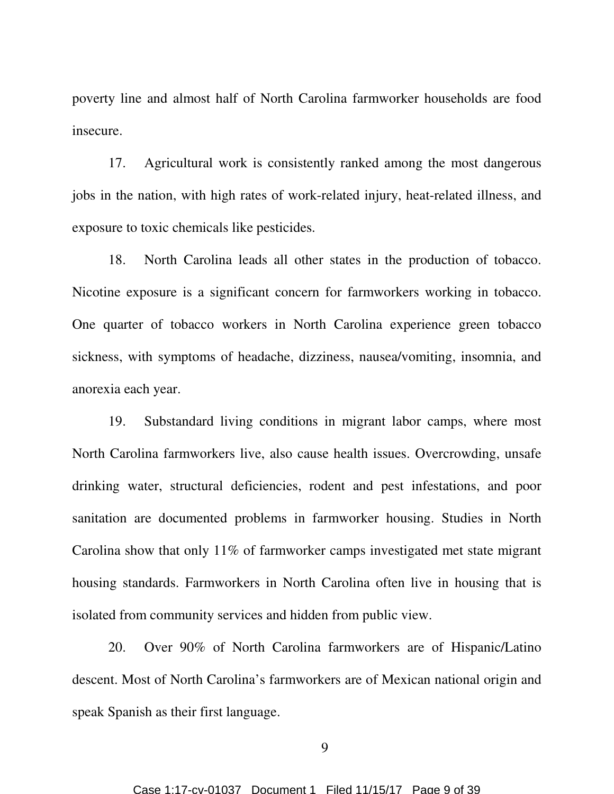poverty line and almost half of North Carolina farmworker households are food insecure.

17. Agricultural work is consistently ranked among the most dangerous jobs in the nation, with high rates of work-related injury, heat-related illness, and exposure to toxic chemicals like pesticides.

18. North Carolina leads all other states in the production of tobacco. Nicotine exposure is a significant concern for farmworkers working in tobacco. One quarter of tobacco workers in North Carolina experience green tobacco sickness, with symptoms of headache, dizziness, nausea/vomiting, insomnia, and anorexia each year.

19. Substandard living conditions in migrant labor camps, where most North Carolina farmworkers live, also cause health issues. Overcrowding, unsafe drinking water, structural deficiencies, rodent and pest infestations, and poor sanitation are documented problems in farmworker housing. Studies in North Carolina show that only 11% of farmworker camps investigated met state migrant housing standards. Farmworkers in North Carolina often live in housing that is isolated from community services and hidden from public view.

20. Over 90% of North Carolina farmworkers are of Hispanic/Latino descent. Most of North Carolina's farmworkers are of Mexican national origin and speak Spanish as their first language.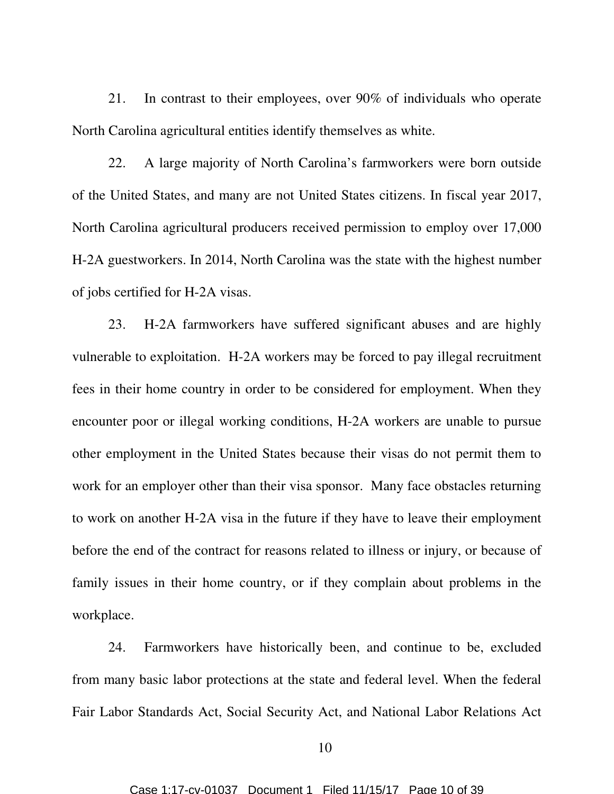21. In contrast to their employees, over 90% of individuals who operate North Carolina agricultural entities identify themselves as white.

22. A large majority of North Carolina's farmworkers were born outside of the United States, and many are not United States citizens. In fiscal year 2017, North Carolina agricultural producers received permission to employ over 17,000 H-2A guestworkers. In 2014, North Carolina was the state with the highest number of jobs certified for H-2A visas.

23. H-2A farmworkers have suffered significant abuses and are highly vulnerable to exploitation. H-2A workers may be forced to pay illegal recruitment fees in their home country in order to be considered for employment. When they encounter poor or illegal working conditions, H-2A workers are unable to pursue other employment in the United States because their visas do not permit them to work for an employer other than their visa sponsor. Many face obstacles returning to work on another H-2A visa in the future if they have to leave their employment before the end of the contract for reasons related to illness or injury, or because of family issues in their home country, or if they complain about problems in the workplace.

24. Farmworkers have historically been, and continue to be, excluded from many basic labor protections at the state and federal level. When the federal Fair Labor Standards Act, Social Security Act, and National Labor Relations Act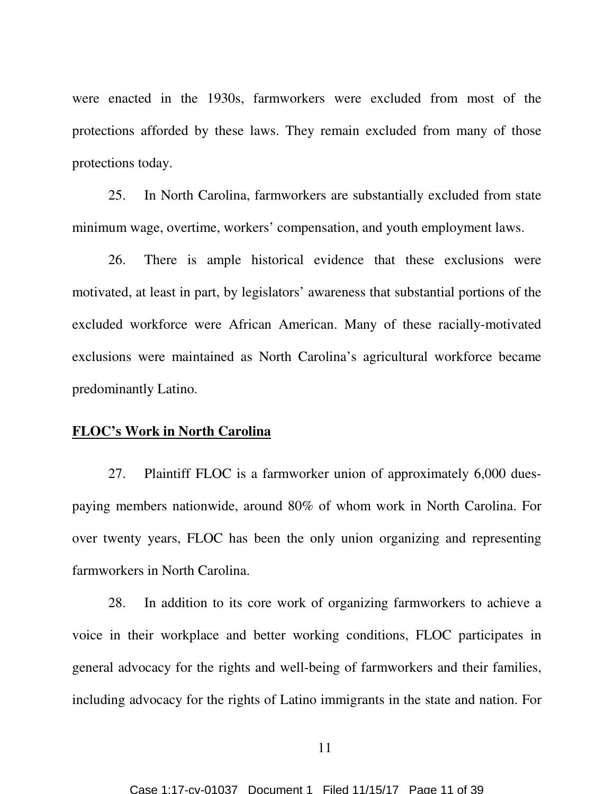were enacted in the 1930s, farmworkers were excluded from most of the protections afforded by these laws. They remain excluded from many of those protections today.

25. In North Carolina, farmworkers are substantially excluded from state minimum wage, overtime, workers' compensation, and youth employment laws.

26. There is ample historical evidence that these exclusions were motivated, at least in part, by legislators' awareness that substantial portions of the excluded workforce were African American. Many of these racially-motivated exclusions were maintained as North Carolina's agricultural workforce became predominantly Latino.

## **FLOC's Work in North Carolina**

27. Plaintiff FLOC is a farmworker union of approximately 6,000 duespaying members nationwide, around 80% of whom work in North Carolina. For over twenty years, FLOC has been the only union organizing and representing farmworkers in North Carolina.

28. In addition to its core work of organizing farmworkers to achieve a voice in their workplace and better working conditions, FLOC participates in general advocacy for the rights and well-being of farmworkers and their families, including advocacy for the rights of Latino immigrants in the state and nation. For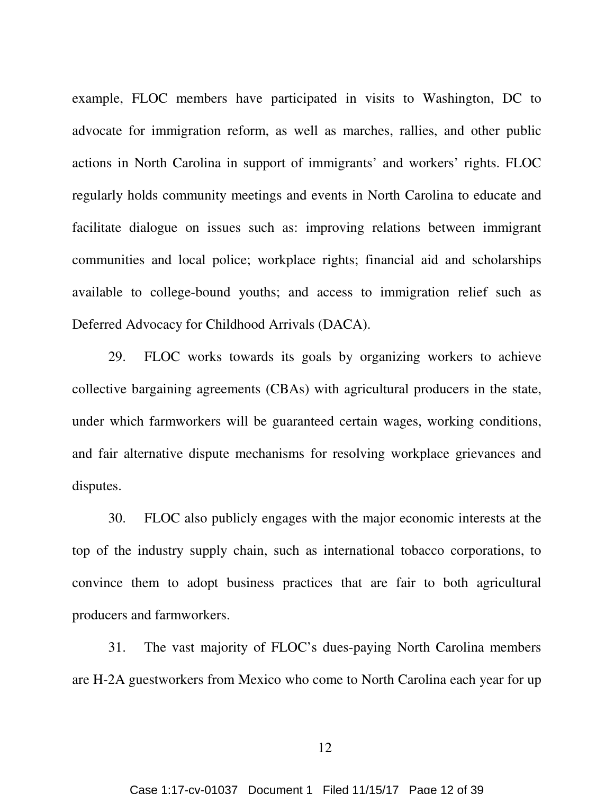example, FLOC members have participated in visits to Washington, DC to advocate for immigration reform, as well as marches, rallies, and other public actions in North Carolina in support of immigrants' and workers' rights. FLOC regularly holds community meetings and events in North Carolina to educate and facilitate dialogue on issues such as: improving relations between immigrant communities and local police; workplace rights; financial aid and scholarships available to college-bound youths; and access to immigration relief such as Deferred Advocacy for Childhood Arrivals (DACA).

29. FLOC works towards its goals by organizing workers to achieve collective bargaining agreements (CBAs) with agricultural producers in the state, under which farmworkers will be guaranteed certain wages, working conditions, and fair alternative dispute mechanisms for resolving workplace grievances and disputes.

30. FLOC also publicly engages with the major economic interests at the top of the industry supply chain, such as international tobacco corporations, to convince them to adopt business practices that are fair to both agricultural producers and farmworkers.

31. The vast majority of FLOC's dues-paying North Carolina members are H-2A guestworkers from Mexico who come to North Carolina each year for up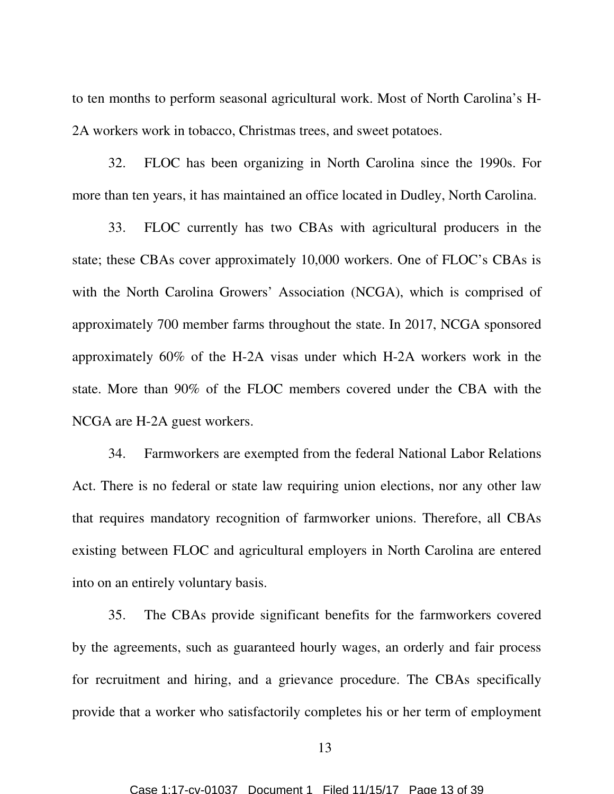to ten months to perform seasonal agricultural work. Most of North Carolina's H-2A workers work in tobacco, Christmas trees, and sweet potatoes.

32. FLOC has been organizing in North Carolina since the 1990s. For more than ten years, it has maintained an office located in Dudley, North Carolina.

33. FLOC currently has two CBAs with agricultural producers in the state; these CBAs cover approximately 10,000 workers. One of FLOC's CBAs is with the North Carolina Growers' Association (NCGA), which is comprised of approximately 700 member farms throughout the state. In 2017, NCGA sponsored approximately 60% of the H-2A visas under which H-2A workers work in the state. More than 90% of the FLOC members covered under the CBA with the NCGA are H-2A guest workers.

34. Farmworkers are exempted from the federal National Labor Relations Act. There is no federal or state law requiring union elections, nor any other law that requires mandatory recognition of farmworker unions. Therefore, all CBAs existing between FLOC and agricultural employers in North Carolina are entered into on an entirely voluntary basis.

35. The CBAs provide significant benefits for the farmworkers covered by the agreements, such as guaranteed hourly wages, an orderly and fair process for recruitment and hiring, and a grievance procedure. The CBAs specifically provide that a worker who satisfactorily completes his or her term of employment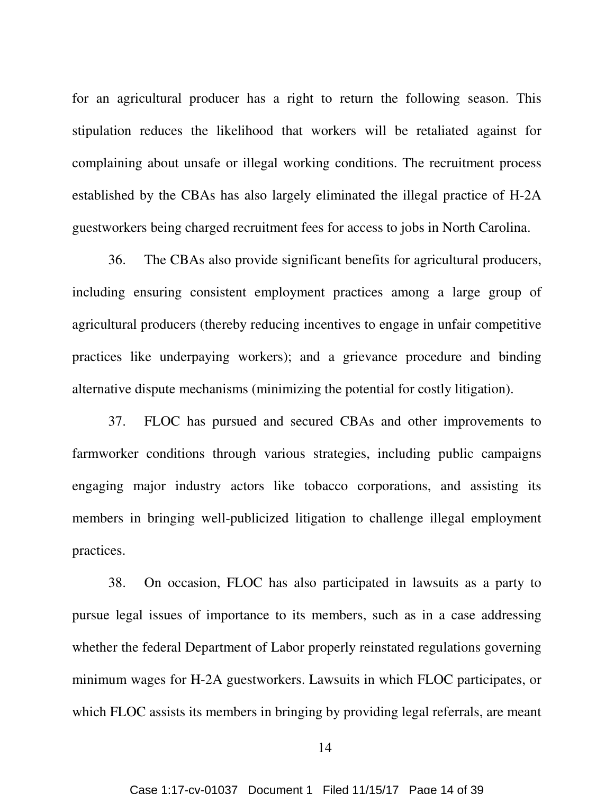for an agricultural producer has a right to return the following season. This stipulation reduces the likelihood that workers will be retaliated against for complaining about unsafe or illegal working conditions. The recruitment process established by the CBAs has also largely eliminated the illegal practice of H-2A guestworkers being charged recruitment fees for access to jobs in North Carolina.

36. The CBAs also provide significant benefits for agricultural producers, including ensuring consistent employment practices among a large group of agricultural producers (thereby reducing incentives to engage in unfair competitive practices like underpaying workers); and a grievance procedure and binding alternative dispute mechanisms (minimizing the potential for costly litigation).

37. FLOC has pursued and secured CBAs and other improvements to farmworker conditions through various strategies, including public campaigns engaging major industry actors like tobacco corporations, and assisting its members in bringing well-publicized litigation to challenge illegal employment practices.

38. On occasion, FLOC has also participated in lawsuits as a party to pursue legal issues of importance to its members, such as in a case addressing whether the federal Department of Labor properly reinstated regulations governing minimum wages for H-2A guestworkers. Lawsuits in which FLOC participates, or which FLOC assists its members in bringing by providing legal referrals, are meant

14

Case 1:17-cv-01037 Document 1 Filed 11/15/17 Page 14 of 39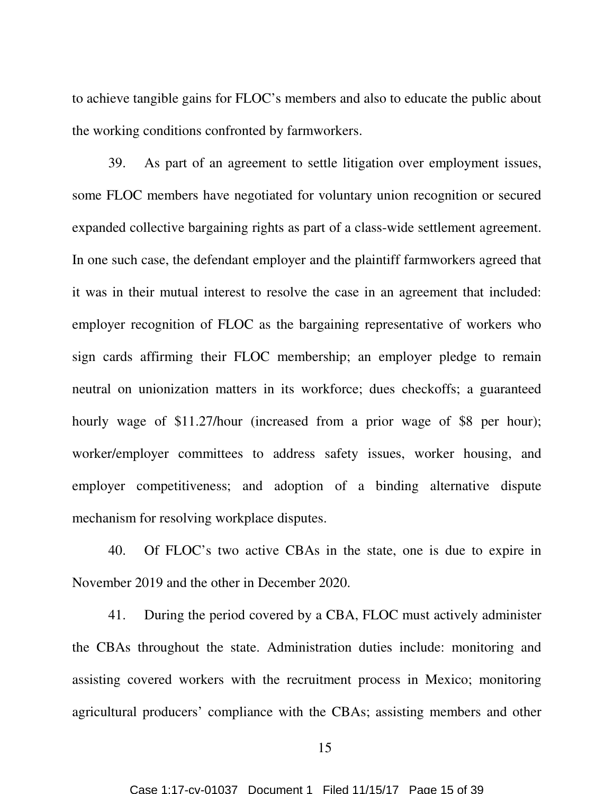to achieve tangible gains for FLOC's members and also to educate the public about the working conditions confronted by farmworkers.

39. As part of an agreement to settle litigation over employment issues, some FLOC members have negotiated for voluntary union recognition or secured expanded collective bargaining rights as part of a class-wide settlement agreement. In one such case, the defendant employer and the plaintiff farmworkers agreed that it was in their mutual interest to resolve the case in an agreement that included: employer recognition of FLOC as the bargaining representative of workers who sign cards affirming their FLOC membership; an employer pledge to remain neutral on unionization matters in its workforce; dues checkoffs; a guaranteed hourly wage of \$11.27/hour (increased from a prior wage of \$8 per hour); worker/employer committees to address safety issues, worker housing, and employer competitiveness; and adoption of a binding alternative dispute mechanism for resolving workplace disputes.

40. Of FLOC's two active CBAs in the state, one is due to expire in November 2019 and the other in December 2020.

41. During the period covered by a CBA, FLOC must actively administer the CBAs throughout the state. Administration duties include: monitoring and assisting covered workers with the recruitment process in Mexico; monitoring agricultural producers' compliance with the CBAs; assisting members and other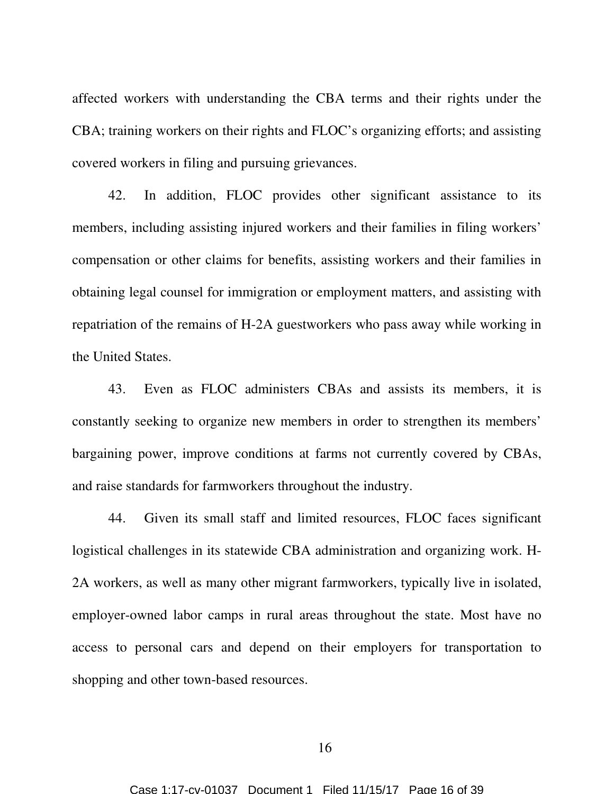affected workers with understanding the CBA terms and their rights under the CBA; training workers on their rights and FLOC's organizing efforts; and assisting covered workers in filing and pursuing grievances.

42. In addition, FLOC provides other significant assistance to its members, including assisting injured workers and their families in filing workers' compensation or other claims for benefits, assisting workers and their families in obtaining legal counsel for immigration or employment matters, and assisting with repatriation of the remains of H-2A guestworkers who pass away while working in the United States.

43. Even as FLOC administers CBAs and assists its members, it is constantly seeking to organize new members in order to strengthen its members' bargaining power, improve conditions at farms not currently covered by CBAs, and raise standards for farmworkers throughout the industry.

44. Given its small staff and limited resources, FLOC faces significant logistical challenges in its statewide CBA administration and organizing work. H-2A workers, as well as many other migrant farmworkers, typically live in isolated, employer-owned labor camps in rural areas throughout the state. Most have no access to personal cars and depend on their employers for transportation to shopping and other town-based resources.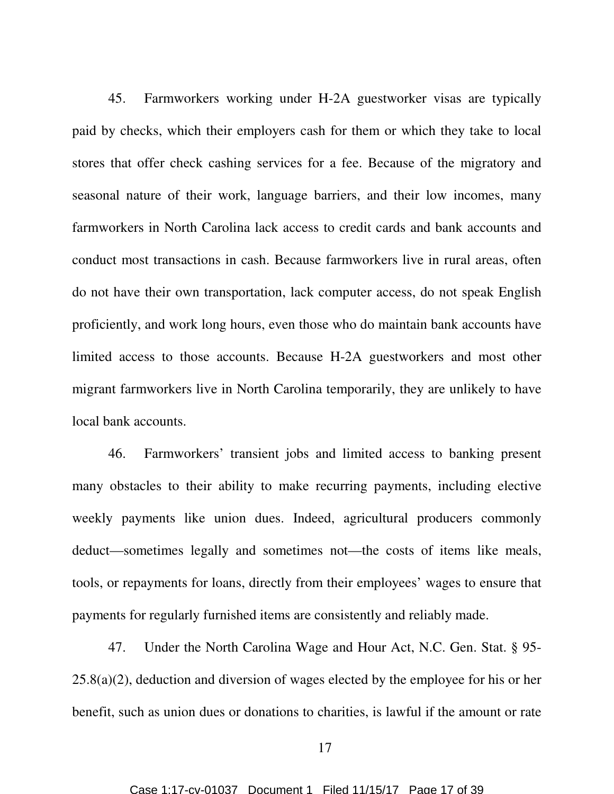45. Farmworkers working under H-2A guestworker visas are typically paid by checks, which their employers cash for them or which they take to local stores that offer check cashing services for a fee. Because of the migratory and seasonal nature of their work, language barriers, and their low incomes, many farmworkers in North Carolina lack access to credit cards and bank accounts and conduct most transactions in cash. Because farmworkers live in rural areas, often do not have their own transportation, lack computer access, do not speak English proficiently, and work long hours, even those who do maintain bank accounts have limited access to those accounts. Because H-2A guestworkers and most other migrant farmworkers live in North Carolina temporarily, they are unlikely to have local bank accounts.

46. Farmworkers' transient jobs and limited access to banking present many obstacles to their ability to make recurring payments, including elective weekly payments like union dues. Indeed, agricultural producers commonly deduct—sometimes legally and sometimes not—the costs of items like meals, tools, or repayments for loans, directly from their employees' wages to ensure that payments for regularly furnished items are consistently and reliably made.

47. Under the North Carolina Wage and Hour Act, N.C. Gen. Stat. § 95-  $25.8(a)(2)$ , deduction and diversion of wages elected by the employee for his or her benefit, such as union dues or donations to charities, is lawful if the amount or rate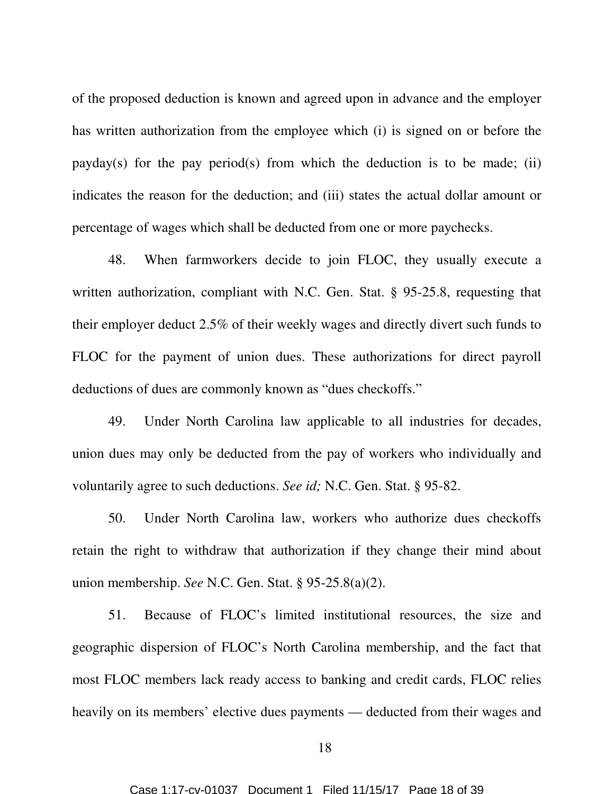of the proposed deduction is known and agreed upon in advance and the employer has written authorization from the employee which (i) is signed on or before the  $payday(s)$  for the pay period(s) from which the deduction is to be made; (ii) indicates the reason for the deduction; and (iii) states the actual dollar amount or percentage of wages which shall be deducted from one or more paychecks.

48. When farmworkers decide to join FLOC, they usually execute a written authorization, compliant with N.C. Gen. Stat. § 95-25.8, requesting that their employer deduct 2.5% of their weekly wages and directly divert such funds to FLOC for the payment of union dues. These authorizations for direct payroll deductions of dues are commonly known as "dues checkoffs."

49. Under North Carolina law applicable to all industries for decades, union dues may only be deducted from the pay of workers who individually and voluntarily agree to such deductions. *See id;* N.C. Gen. Stat. § 95-82.

50. Under North Carolina law, workers who authorize dues checkoffs retain the right to withdraw that authorization if they change their mind about union membership. *See* N.C. Gen. Stat. § 95-25.8(a)(2).

51. Because of FLOC's limited institutional resources, the size and geographic dispersion of FLOC's North Carolina membership, and the fact that most FLOC members lack ready access to banking and credit cards, FLOC relies heavily on its members' elective dues payments — deducted from their wages and

18

Case 1:17-cv-01037 Document 1 Filed 11/15/17 Page 18 of 39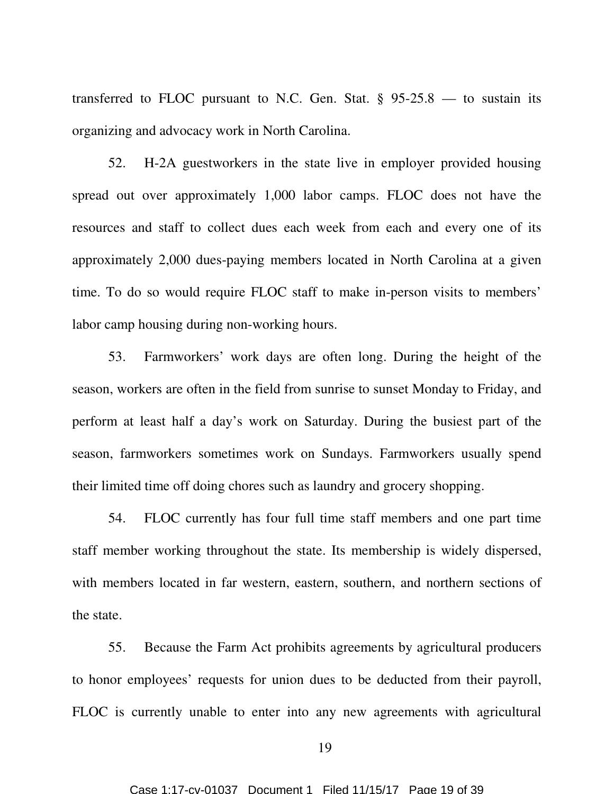transferred to FLOC pursuant to N.C. Gen. Stat.  $\S$  95-25.8 — to sustain its organizing and advocacy work in North Carolina.

52. H-2A guestworkers in the state live in employer provided housing spread out over approximately 1,000 labor camps. FLOC does not have the resources and staff to collect dues each week from each and every one of its approximately 2,000 dues-paying members located in North Carolina at a given time. To do so would require FLOC staff to make in-person visits to members' labor camp housing during non-working hours.

53. Farmworkers' work days are often long. During the height of the season, workers are often in the field from sunrise to sunset Monday to Friday, and perform at least half a day's work on Saturday. During the busiest part of the season, farmworkers sometimes work on Sundays. Farmworkers usually spend their limited time off doing chores such as laundry and grocery shopping.

54. FLOC currently has four full time staff members and one part time staff member working throughout the state. Its membership is widely dispersed, with members located in far western, eastern, southern, and northern sections of the state.

55. Because the Farm Act prohibits agreements by agricultural producers to honor employees' requests for union dues to be deducted from their payroll, FLOC is currently unable to enter into any new agreements with agricultural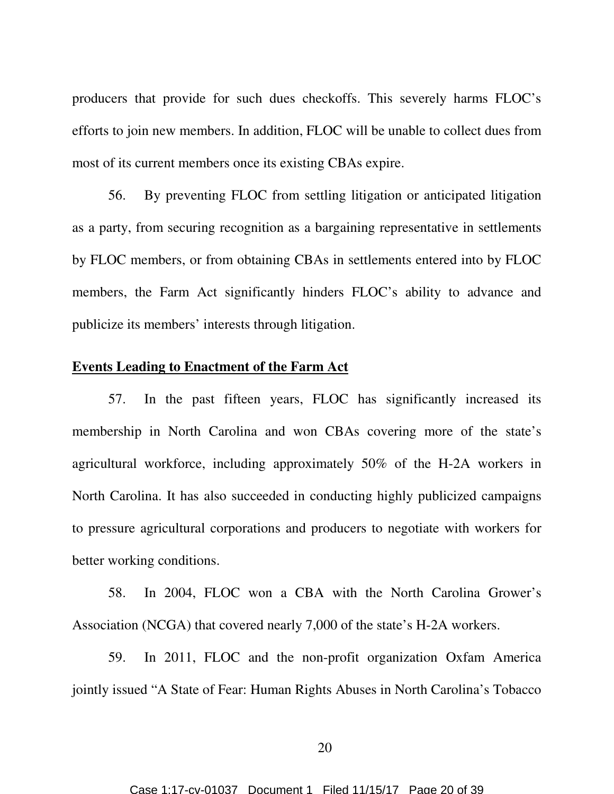producers that provide for such dues checkoffs. This severely harms FLOC's efforts to join new members. In addition, FLOC will be unable to collect dues from most of its current members once its existing CBAs expire.

56. By preventing FLOC from settling litigation or anticipated litigation as a party, from securing recognition as a bargaining representative in settlements by FLOC members, or from obtaining CBAs in settlements entered into by FLOC members, the Farm Act significantly hinders FLOC's ability to advance and publicize its members' interests through litigation.

## **Events Leading to Enactment of the Farm Act**

57. In the past fifteen years, FLOC has significantly increased its membership in North Carolina and won CBAs covering more of the state's agricultural workforce, including approximately 50% of the H-2A workers in North Carolina. It has also succeeded in conducting highly publicized campaigns to pressure agricultural corporations and producers to negotiate with workers for better working conditions.

58. In 2004, FLOC won a CBA with the North Carolina Grower's Association (NCGA) that covered nearly 7,000 of the state's H-2A workers.

59. In 2011, FLOC and the non-profit organization Oxfam America jointly issued "A State of Fear: Human Rights Abuses in North Carolina's Tobacco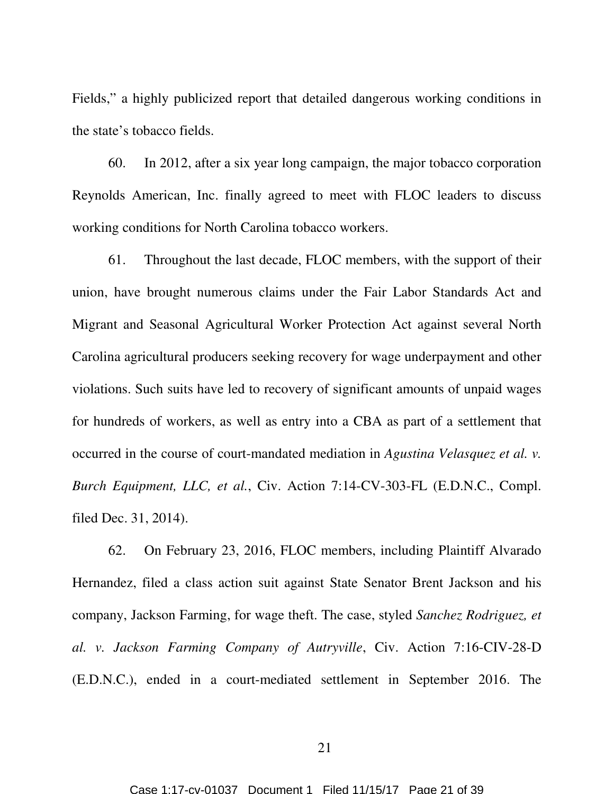Fields," a highly publicized report that detailed dangerous working conditions in the state's tobacco fields.

60. In 2012, after a six year long campaign, the major tobacco corporation Reynolds American, Inc. finally agreed to meet with FLOC leaders to discuss working conditions for North Carolina tobacco workers.

61. Throughout the last decade, FLOC members, with the support of their union, have brought numerous claims under the Fair Labor Standards Act and Migrant and Seasonal Agricultural Worker Protection Act against several North Carolina agricultural producers seeking recovery for wage underpayment and other violations. Such suits have led to recovery of significant amounts of unpaid wages for hundreds of workers, as well as entry into a CBA as part of a settlement that occurred in the course of court-mandated mediation in *Agustina Velasquez et al. v. Burch Equipment, LLC, et al.*, Civ. Action 7:14-CV-303-FL (E.D.N.C., Compl. filed Dec. 31, 2014).

62. On February 23, 2016, FLOC members, including Plaintiff Alvarado Hernandez, filed a class action suit against State Senator Brent Jackson and his company, Jackson Farming, for wage theft. The case, styled *Sanchez Rodriguez, et al. v. Jackson Farming Company of Autryville*, Civ. Action 7:16-CIV-28-D (E.D.N.C.), ended in a court-mediated settlement in September 2016. The

21

Case 1:17-cv-01037 Document 1 Filed 11/15/17 Page 21 of 39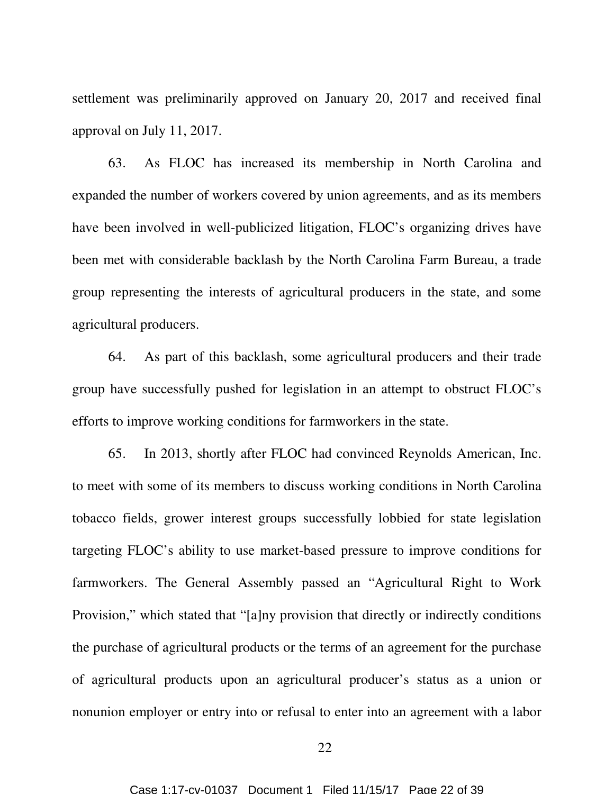settlement was preliminarily approved on January 20, 2017 and received final approval on July 11, 2017.

63. As FLOC has increased its membership in North Carolina and expanded the number of workers covered by union agreements, and as its members have been involved in well-publicized litigation, FLOC's organizing drives have been met with considerable backlash by the North Carolina Farm Bureau, a trade group representing the interests of agricultural producers in the state, and some agricultural producers.

64. As part of this backlash, some agricultural producers and their trade group have successfully pushed for legislation in an attempt to obstruct FLOC's efforts to improve working conditions for farmworkers in the state.

65. In 2013, shortly after FLOC had convinced Reynolds American, Inc. to meet with some of its members to discuss working conditions in North Carolina tobacco fields, grower interest groups successfully lobbied for state legislation targeting FLOC's ability to use market-based pressure to improve conditions for farmworkers. The General Assembly passed an "Agricultural Right to Work Provision," which stated that "[a]ny provision that directly or indirectly conditions the purchase of agricultural products or the terms of an agreement for the purchase of agricultural products upon an agricultural producer's status as a union or nonunion employer or entry into or refusal to enter into an agreement with a labor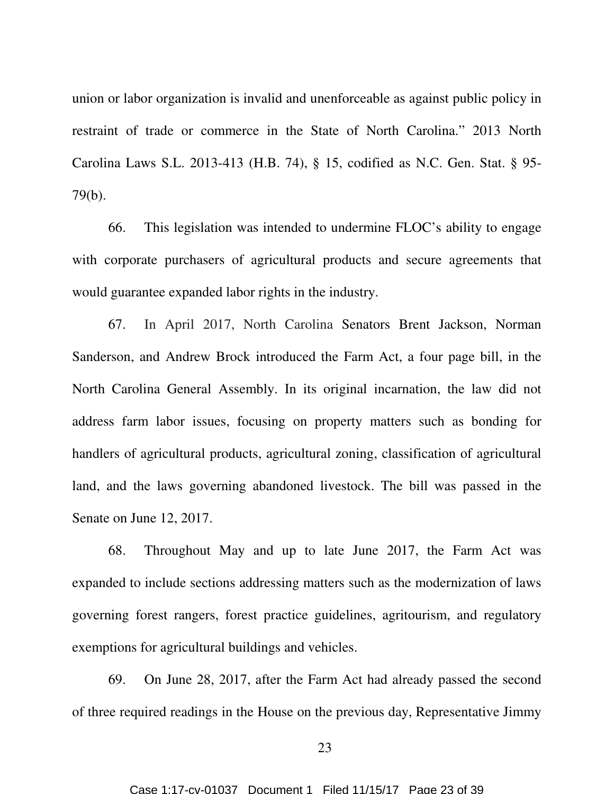union or labor organization is invalid and unenforceable as against public policy in restraint of trade or commerce in the State of North Carolina." 2013 North Carolina Laws S.L. 2013-413 (H.B. 74), § 15, codified as N.C. Gen. Stat. § 95- 79(b).

66. This legislation was intended to undermine FLOC's ability to engage with corporate purchasers of agricultural products and secure agreements that would guarantee expanded labor rights in the industry.

67. In April 2017, North Carolina Senators Brent Jackson, Norman Sanderson, and Andrew Brock introduced the Farm Act, a four page bill, in the North Carolina General Assembly. In its original incarnation, the law did not address farm labor issues, focusing on property matters such as bonding for handlers of agricultural products, agricultural zoning, classification of agricultural land, and the laws governing abandoned livestock. The bill was passed in the Senate on June 12, 2017.

68. Throughout May and up to late June 2017, the Farm Act was expanded to include sections addressing matters such as the modernization of laws governing forest rangers, forest practice guidelines, agritourism, and regulatory exemptions for agricultural buildings and vehicles.

69. On June 28, 2017, after the Farm Act had already passed the second of three required readings in the House on the previous day, Representative Jimmy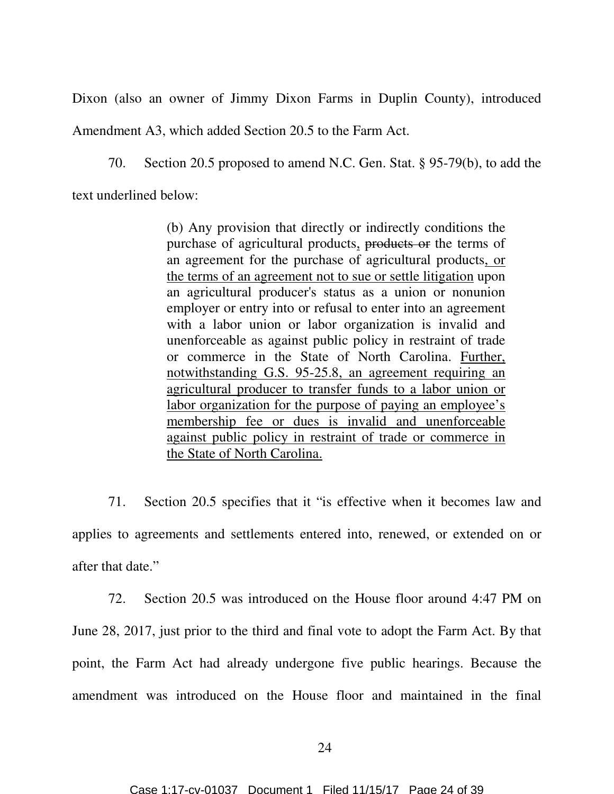Dixon (also an owner of Jimmy Dixon Farms in Duplin County), introduced

Amendment A3, which added Section 20.5 to the Farm Act.

70. Section 20.5 proposed to amend N.C. Gen. Stat. § 95-79(b), to add the

text underlined below:

(b) Any provision that directly or indirectly conditions the purchase of agricultural products, products or the terms of an agreement for the purchase of agricultural products, or the terms of an agreement not to sue or settle litigation upon an agricultural producer's status as a union or nonunion employer or entry into or refusal to enter into an agreement with a labor union or labor organization is invalid and unenforceable as against public policy in restraint of trade or commerce in the State of North Carolina. Further, notwithstanding G.S. 95-25.8, an agreement requiring an agricultural producer to transfer funds to a labor union or labor organization for the purpose of paying an employee's membership fee or dues is invalid and unenforceable against public policy in restraint of trade or commerce in the State of North Carolina.

71. Section 20.5 specifies that it "is effective when it becomes law and applies to agreements and settlements entered into, renewed, or extended on or after that date."

72. Section 20.5 was introduced on the House floor around 4:47 PM on June 28, 2017, just prior to the third and final vote to adopt the Farm Act. By that point, the Farm Act had already undergone five public hearings. Because the amendment was introduced on the House floor and maintained in the final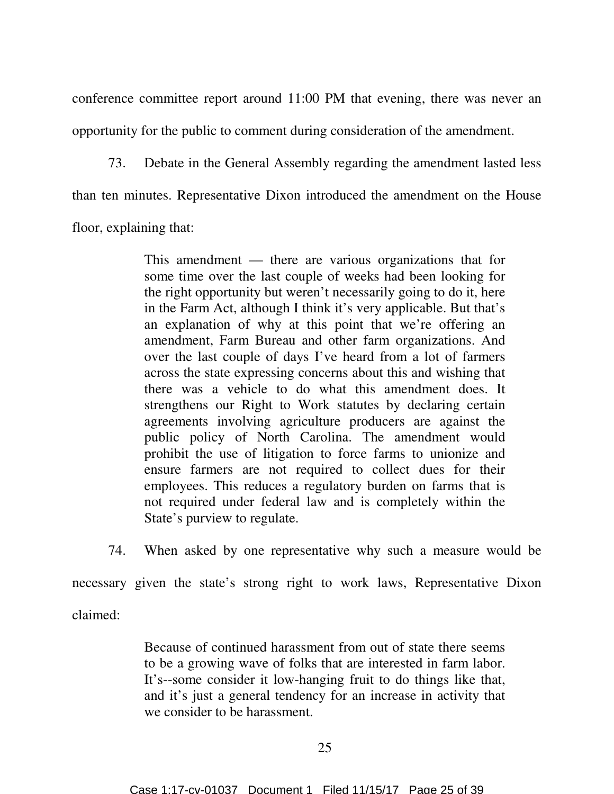conference committee report around 11:00 PM that evening, there was never an opportunity for the public to comment during consideration of the amendment.

73. Debate in the General Assembly regarding the amendment lasted less than ten minutes. Representative Dixon introduced the amendment on the House floor, explaining that:

> This amendment — there are various organizations that for some time over the last couple of weeks had been looking for the right opportunity but weren't necessarily going to do it, here in the Farm Act, although I think it's very applicable. But that's an explanation of why at this point that we're offering an amendment, Farm Bureau and other farm organizations. And over the last couple of days I've heard from a lot of farmers across the state expressing concerns about this and wishing that there was a vehicle to do what this amendment does. It strengthens our Right to Work statutes by declaring certain agreements involving agriculture producers are against the public policy of North Carolina. The amendment would prohibit the use of litigation to force farms to unionize and ensure farmers are not required to collect dues for their employees. This reduces a regulatory burden on farms that is not required under federal law and is completely within the State's purview to regulate.

74. When asked by one representative why such a measure would be

necessary given the state's strong right to work laws, Representative Dixon

claimed:

Because of continued harassment from out of state there seems to be a growing wave of folks that are interested in farm labor. It's--some consider it low-hanging fruit to do things like that, and it's just a general tendency for an increase in activity that we consider to be harassment.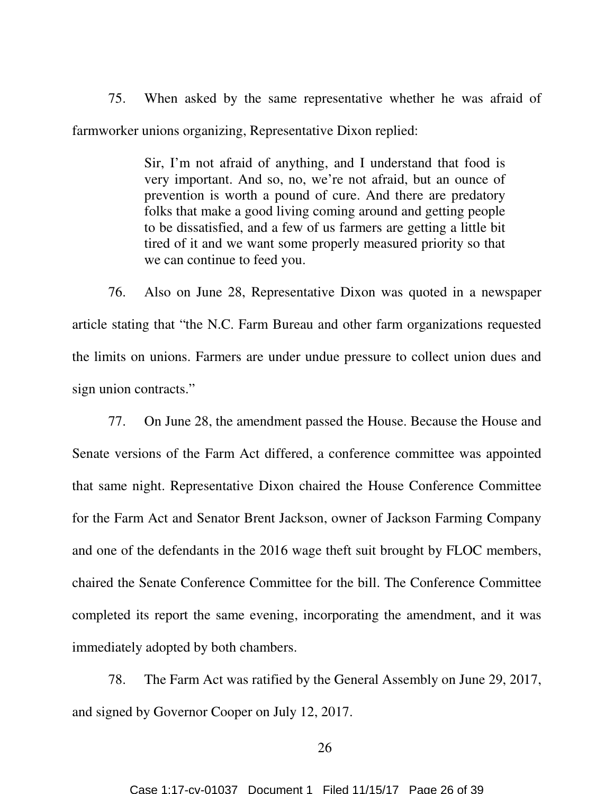75. When asked by the same representative whether he was afraid of farmworker unions organizing, Representative Dixon replied:

> Sir, I'm not afraid of anything, and I understand that food is very important. And so, no, we're not afraid, but an ounce of prevention is worth a pound of cure. And there are predatory folks that make a good living coming around and getting people to be dissatisfied, and a few of us farmers are getting a little bit tired of it and we want some properly measured priority so that we can continue to feed you.

76. Also on June 28, Representative Dixon was quoted in a newspaper article stating that "the N.C. Farm Bureau and other farm organizations requested the limits on unions. Farmers are under undue pressure to collect union dues and sign union contracts."

77. On June 28, the amendment passed the House. Because the House and Senate versions of the Farm Act differed, a conference committee was appointed that same night. Representative Dixon chaired the House Conference Committee for the Farm Act and Senator Brent Jackson, owner of Jackson Farming Company and one of the defendants in the 2016 wage theft suit brought by FLOC members, chaired the Senate Conference Committee for the bill. The Conference Committee completed its report the same evening, incorporating the amendment, and it was immediately adopted by both chambers.

78. The Farm Act was ratified by the General Assembly on June 29, 2017, and signed by Governor Cooper on July 12, 2017.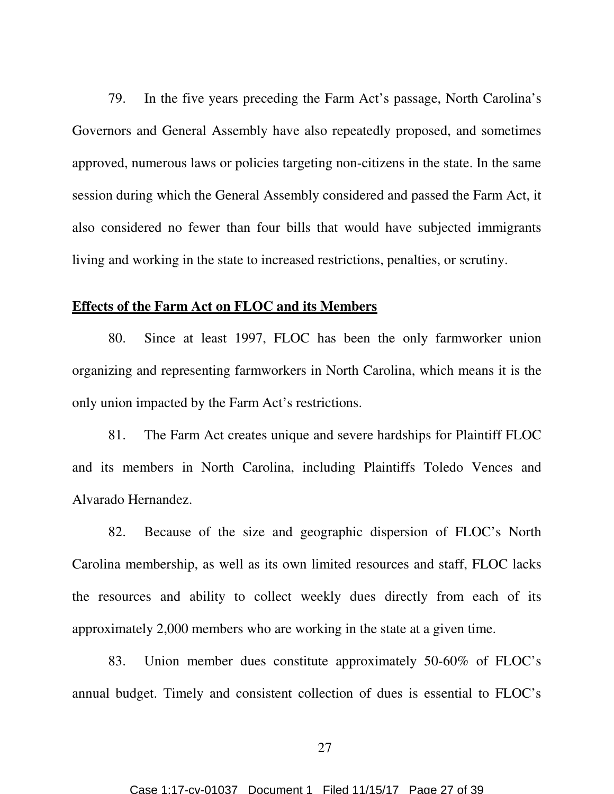79. In the five years preceding the Farm Act's passage, North Carolina's Governors and General Assembly have also repeatedly proposed, and sometimes approved, numerous laws or policies targeting non-citizens in the state. In the same session during which the General Assembly considered and passed the Farm Act, it also considered no fewer than four bills that would have subjected immigrants living and working in the state to increased restrictions, penalties, or scrutiny.

## **Effects of the Farm Act on FLOC and its Members**

80. Since at least 1997, FLOC has been the only farmworker union organizing and representing farmworkers in North Carolina, which means it is the only union impacted by the Farm Act's restrictions.

81. The Farm Act creates unique and severe hardships for Plaintiff FLOC and its members in North Carolina, including Plaintiffs Toledo Vences and Alvarado Hernandez.

82. Because of the size and geographic dispersion of FLOC's North Carolina membership, as well as its own limited resources and staff, FLOC lacks the resources and ability to collect weekly dues directly from each of its approximately 2,000 members who are working in the state at a given time.

83. Union member dues constitute approximately 50-60% of FLOC's annual budget. Timely and consistent collection of dues is essential to FLOC's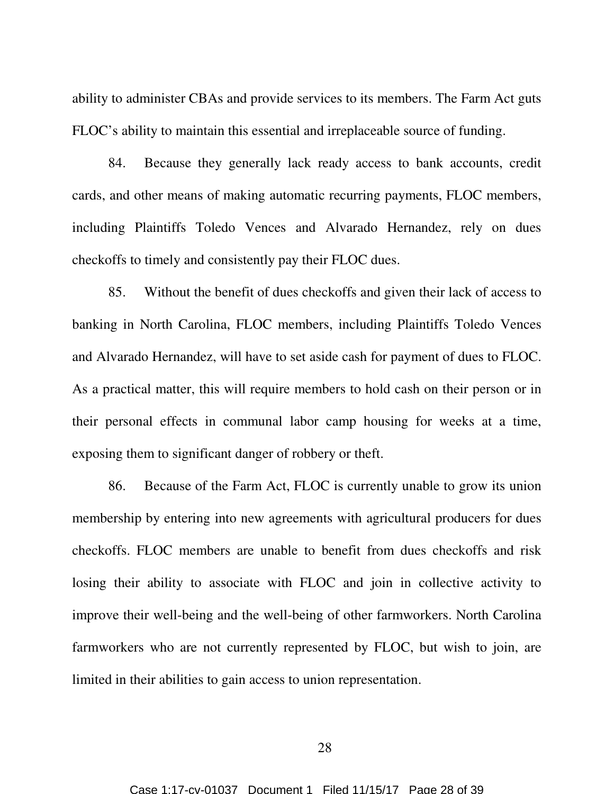ability to administer CBAs and provide services to its members. The Farm Act guts FLOC's ability to maintain this essential and irreplaceable source of funding.

84. Because they generally lack ready access to bank accounts, credit cards, and other means of making automatic recurring payments, FLOC members, including Plaintiffs Toledo Vences and Alvarado Hernandez, rely on dues checkoffs to timely and consistently pay their FLOC dues.

85. Without the benefit of dues checkoffs and given their lack of access to banking in North Carolina, FLOC members, including Plaintiffs Toledo Vences and Alvarado Hernandez, will have to set aside cash for payment of dues to FLOC. As a practical matter, this will require members to hold cash on their person or in their personal effects in communal labor camp housing for weeks at a time, exposing them to significant danger of robbery or theft.

86. Because of the Farm Act, FLOC is currently unable to grow its union membership by entering into new agreements with agricultural producers for dues checkoffs. FLOC members are unable to benefit from dues checkoffs and risk losing their ability to associate with FLOC and join in collective activity to improve their well-being and the well-being of other farmworkers. North Carolina farmworkers who are not currently represented by FLOC, but wish to join, are limited in their abilities to gain access to union representation.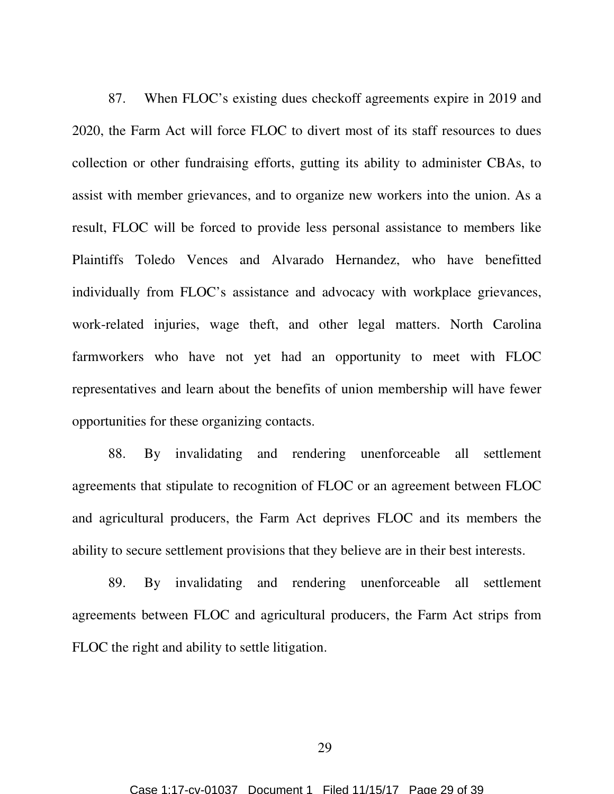87. When FLOC's existing dues checkoff agreements expire in 2019 and 2020, the Farm Act will force FLOC to divert most of its staff resources to dues collection or other fundraising efforts, gutting its ability to administer CBAs, to assist with member grievances, and to organize new workers into the union. As a result, FLOC will be forced to provide less personal assistance to members like Plaintiffs Toledo Vences and Alvarado Hernandez, who have benefitted individually from FLOC's assistance and advocacy with workplace grievances, work-related injuries, wage theft, and other legal matters. North Carolina farmworkers who have not yet had an opportunity to meet with FLOC representatives and learn about the benefits of union membership will have fewer opportunities for these organizing contacts.

88. By invalidating and rendering unenforceable all settlement agreements that stipulate to recognition of FLOC or an agreement between FLOC and agricultural producers, the Farm Act deprives FLOC and its members the ability to secure settlement provisions that they believe are in their best interests.

89. By invalidating and rendering unenforceable all settlement agreements between FLOC and agricultural producers, the Farm Act strips from FLOC the right and ability to settle litigation.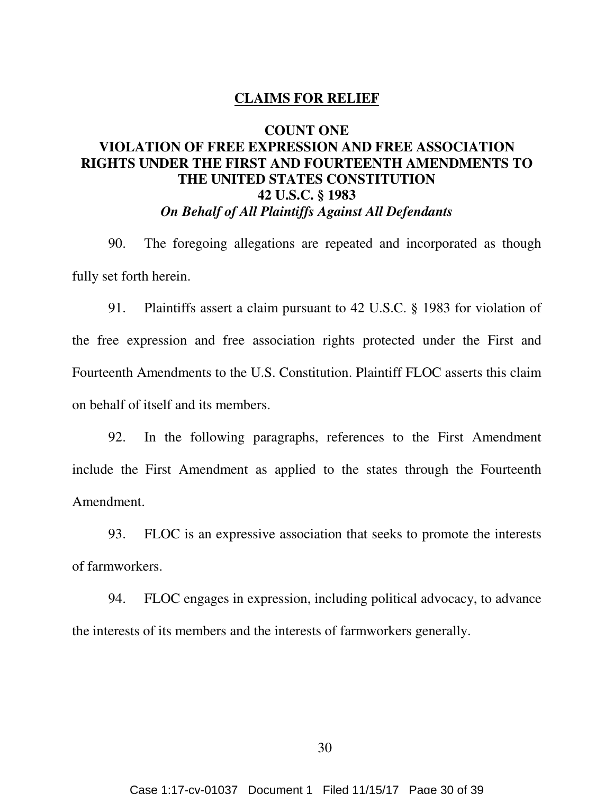#### **CLAIMS FOR RELIEF**

## **COUNT ONE**

# **VIOLATION OF FREE EXPRESSION AND FREE ASSOCIATION RIGHTS UNDER THE FIRST AND FOURTEENTH AMENDMENTS TO THE UNITED STATES CONSTITUTION 42 U.S.C. § 1983**  *On Behalf of All Plaintiffs Against All Defendants*

90. The foregoing allegations are repeated and incorporated as though fully set forth herein.

91. Plaintiffs assert a claim pursuant to 42 U.S.C. § 1983 for violation of the free expression and free association rights protected under the First and Fourteenth Amendments to the U.S. Constitution. Plaintiff FLOC asserts this claim on behalf of itself and its members.

92. In the following paragraphs, references to the First Amendment include the First Amendment as applied to the states through the Fourteenth Amendment.

93. FLOC is an expressive association that seeks to promote the interests of farmworkers.

94. FLOC engages in expression, including political advocacy, to advance the interests of its members and the interests of farmworkers generally.

30

Case 1:17-cv-01037 Document 1 Filed 11/15/17 Page 30 of 39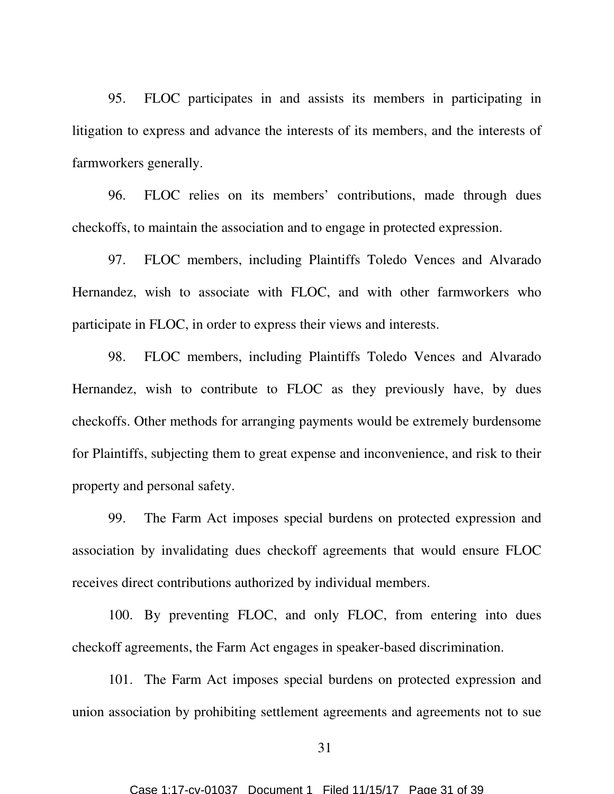95. FLOC participates in and assists its members in participating in litigation to express and advance the interests of its members, and the interests of farmworkers generally.

96. FLOC relies on its members' contributions, made through dues checkoffs, to maintain the association and to engage in protected expression.

97. FLOC members, including Plaintiffs Toledo Vences and Alvarado Hernandez, wish to associate with FLOC, and with other farmworkers who participate in FLOC, in order to express their views and interests.

98. FLOC members, including Plaintiffs Toledo Vences and Alvarado Hernandez, wish to contribute to FLOC as they previously have, by dues checkoffs. Other methods for arranging payments would be extremely burdensome for Plaintiffs, subjecting them to great expense and inconvenience, and risk to their property and personal safety.

99. The Farm Act imposes special burdens on protected expression and association by invalidating dues checkoff agreements that would ensure FLOC receives direct contributions authorized by individual members.

100. By preventing FLOC, and only FLOC, from entering into dues checkoff agreements, the Farm Act engages in speaker-based discrimination.

101. The Farm Act imposes special burdens on protected expression and union association by prohibiting settlement agreements and agreements not to sue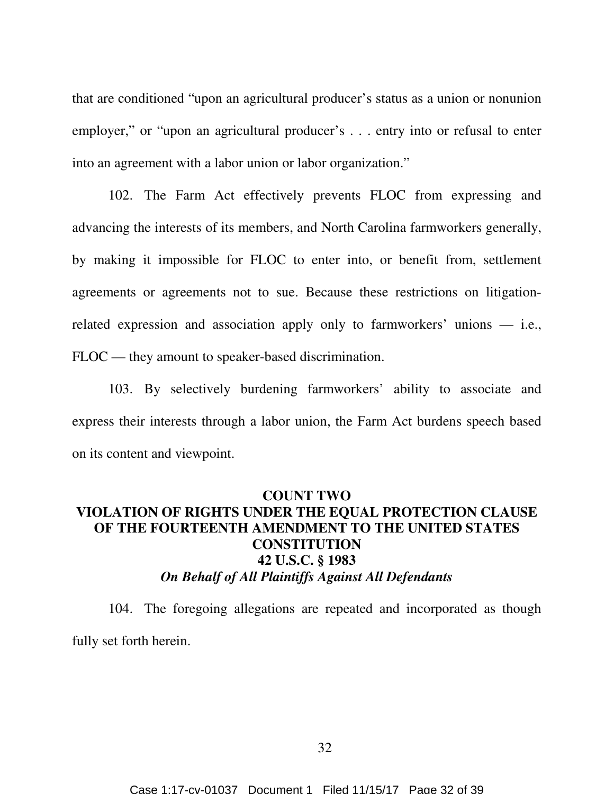that are conditioned "upon an agricultural producer's status as a union or nonunion employer," or "upon an agricultural producer's . . . entry into or refusal to enter into an agreement with a labor union or labor organization."

102. The Farm Act effectively prevents FLOC from expressing and advancing the interests of its members, and North Carolina farmworkers generally, by making it impossible for FLOC to enter into, or benefit from, settlement agreements or agreements not to sue. Because these restrictions on litigationrelated expression and association apply only to farmworkers' unions — i.e., FLOC — they amount to speaker-based discrimination.

103. By selectively burdening farmworkers' ability to associate and express their interests through a labor union, the Farm Act burdens speech based on its content and viewpoint.

# **COUNT TWO VIOLATION OF RIGHTS UNDER THE EQUAL PROTECTION CLAUSE OF THE FOURTEENTH AMENDMENT TO THE UNITED STATES CONSTITUTION 42 U.S.C. § 1983**  *On Behalf of All Plaintiffs Against All Defendants*

104. The foregoing allegations are repeated and incorporated as though fully set forth herein.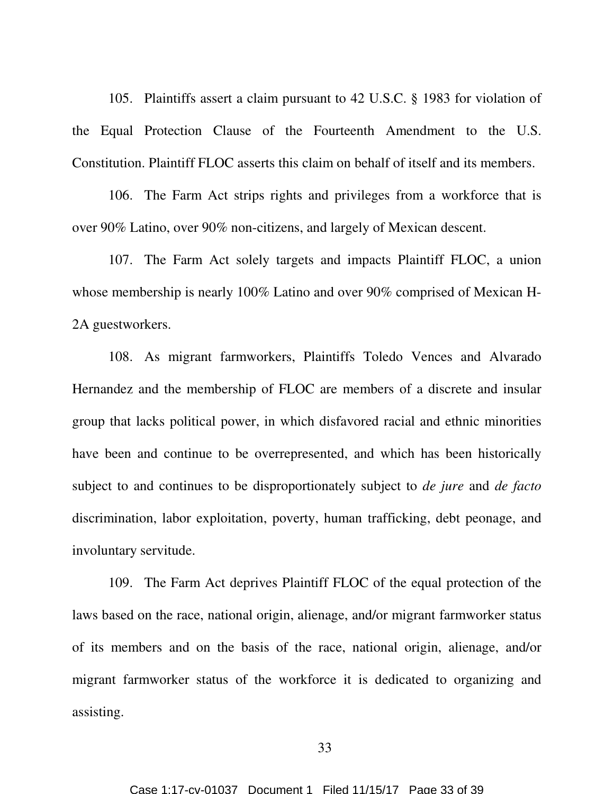105. Plaintiffs assert a claim pursuant to 42 U.S.C. § 1983 for violation of the Equal Protection Clause of the Fourteenth Amendment to the U.S. Constitution. Plaintiff FLOC asserts this claim on behalf of itself and its members.

106. The Farm Act strips rights and privileges from a workforce that is over 90% Latino, over 90% non-citizens, and largely of Mexican descent.

107. The Farm Act solely targets and impacts Plaintiff FLOC, a union whose membership is nearly 100% Latino and over 90% comprised of Mexican H-2A guestworkers.

108. As migrant farmworkers, Plaintiffs Toledo Vences and Alvarado Hernandez and the membership of FLOC are members of a discrete and insular group that lacks political power, in which disfavored racial and ethnic minorities have been and continue to be overrepresented, and which has been historically subject to and continues to be disproportionately subject to *de jure* and *de facto* discrimination, labor exploitation, poverty, human trafficking, debt peonage, and involuntary servitude.

109. The Farm Act deprives Plaintiff FLOC of the equal protection of the laws based on the race, national origin, alienage, and/or migrant farmworker status of its members and on the basis of the race, national origin, alienage, and/or migrant farmworker status of the workforce it is dedicated to organizing and assisting.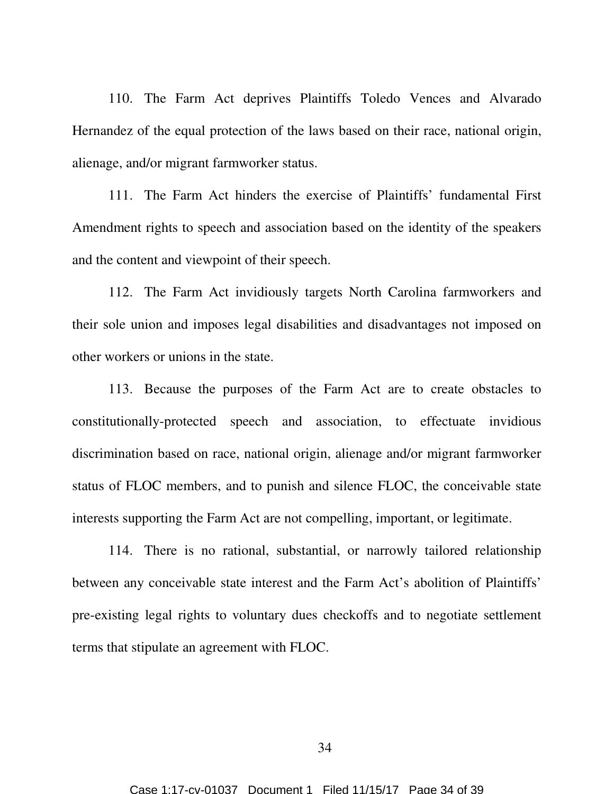110. The Farm Act deprives Plaintiffs Toledo Vences and Alvarado Hernandez of the equal protection of the laws based on their race, national origin, alienage, and/or migrant farmworker status.

111. The Farm Act hinders the exercise of Plaintiffs' fundamental First Amendment rights to speech and association based on the identity of the speakers and the content and viewpoint of their speech.

112. The Farm Act invidiously targets North Carolina farmworkers and their sole union and imposes legal disabilities and disadvantages not imposed on other workers or unions in the state.

113. Because the purposes of the Farm Act are to create obstacles to constitutionally-protected speech and association, to effectuate invidious discrimination based on race, national origin, alienage and/or migrant farmworker status of FLOC members, and to punish and silence FLOC, the conceivable state interests supporting the Farm Act are not compelling, important, or legitimate.

114. There is no rational, substantial, or narrowly tailored relationship between any conceivable state interest and the Farm Act's abolition of Plaintiffs' pre-existing legal rights to voluntary dues checkoffs and to negotiate settlement terms that stipulate an agreement with FLOC.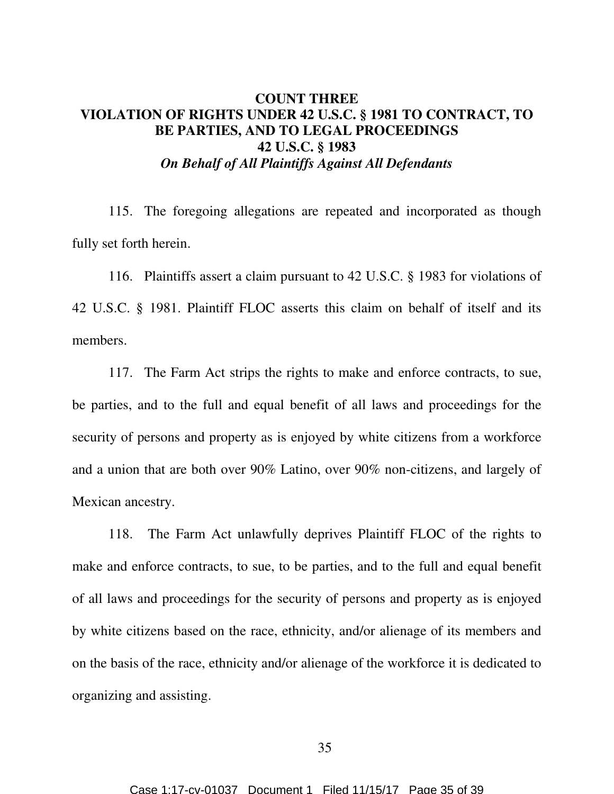## **COUNT THREE VIOLATION OF RIGHTS UNDER 42 U.S.C. § 1981 TO CONTRACT, TO BE PARTIES, AND TO LEGAL PROCEEDINGS 42 U.S.C. § 1983**  *On Behalf of All Plaintiffs Against All Defendants*

115. The foregoing allegations are repeated and incorporated as though fully set forth herein.

116. Plaintiffs assert a claim pursuant to 42 U.S.C. § 1983 for violations of 42 U.S.C. § 1981. Plaintiff FLOC asserts this claim on behalf of itself and its members.

117. The Farm Act strips the rights to make and enforce contracts, to sue, be parties, and to the full and equal benefit of all laws and proceedings for the security of persons and property as is enjoyed by white citizens from a workforce and a union that are both over 90% Latino, over 90% non-citizens, and largely of Mexican ancestry.

118. The Farm Act unlawfully deprives Plaintiff FLOC of the rights to make and enforce contracts, to sue, to be parties, and to the full and equal benefit of all laws and proceedings for the security of persons and property as is enjoyed by white citizens based on the race, ethnicity, and/or alienage of its members and on the basis of the race, ethnicity and/or alienage of the workforce it is dedicated to organizing and assisting.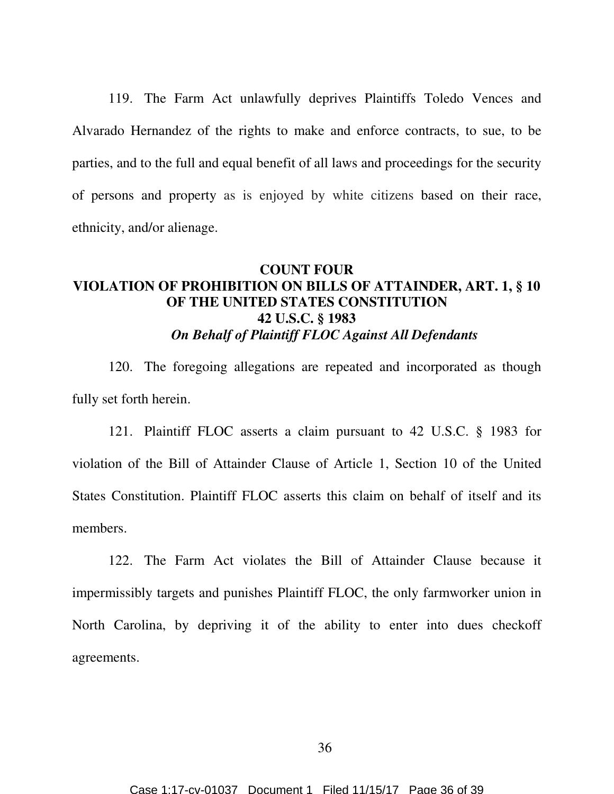119. The Farm Act unlawfully deprives Plaintiffs Toledo Vences and Alvarado Hernandez of the rights to make and enforce contracts, to sue, to be parties, and to the full and equal benefit of all laws and proceedings for the security of persons and property as is enjoyed by white citizens based on their race, ethnicity, and/or alienage.

# **COUNT FOUR VIOLATION OF PROHIBITION ON BILLS OF ATTAINDER, ART. 1, § 10 OF THE UNITED STATES CONSTITUTION 42 U.S.C. § 1983**  *On Behalf of Plaintiff FLOC Against All Defendants*

120. The foregoing allegations are repeated and incorporated as though fully set forth herein.

121. Plaintiff FLOC asserts a claim pursuant to 42 U.S.C. § 1983 for violation of the Bill of Attainder Clause of Article 1, Section 10 of the United States Constitution. Plaintiff FLOC asserts this claim on behalf of itself and its members.

122. The Farm Act violates the Bill of Attainder Clause because it impermissibly targets and punishes Plaintiff FLOC, the only farmworker union in North Carolina, by depriving it of the ability to enter into dues checkoff agreements.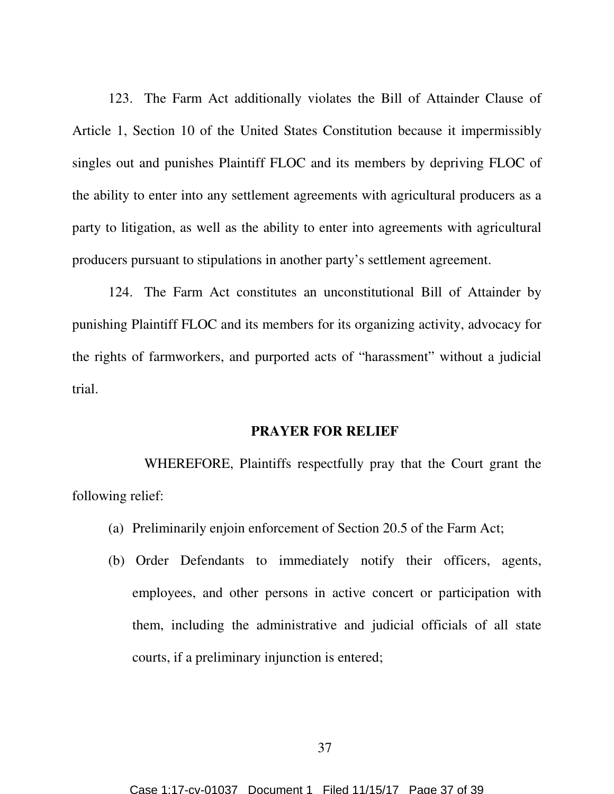123. The Farm Act additionally violates the Bill of Attainder Clause of Article 1, Section 10 of the United States Constitution because it impermissibly singles out and punishes Plaintiff FLOC and its members by depriving FLOC of the ability to enter into any settlement agreements with agricultural producers as a party to litigation, as well as the ability to enter into agreements with agricultural producers pursuant to stipulations in another party's settlement agreement.

124. The Farm Act constitutes an unconstitutional Bill of Attainder by punishing Plaintiff FLOC and its members for its organizing activity, advocacy for the rights of farmworkers, and purported acts of "harassment" without a judicial trial.

#### **PRAYER FOR RELIEF**

 WHEREFORE, Plaintiffs respectfully pray that the Court grant the following relief:

- (a) Preliminarily enjoin enforcement of Section 20.5 of the Farm Act;
- (b) Order Defendants to immediately notify their officers, agents, employees, and other persons in active concert or participation with them, including the administrative and judicial officials of all state courts, if a preliminary injunction is entered;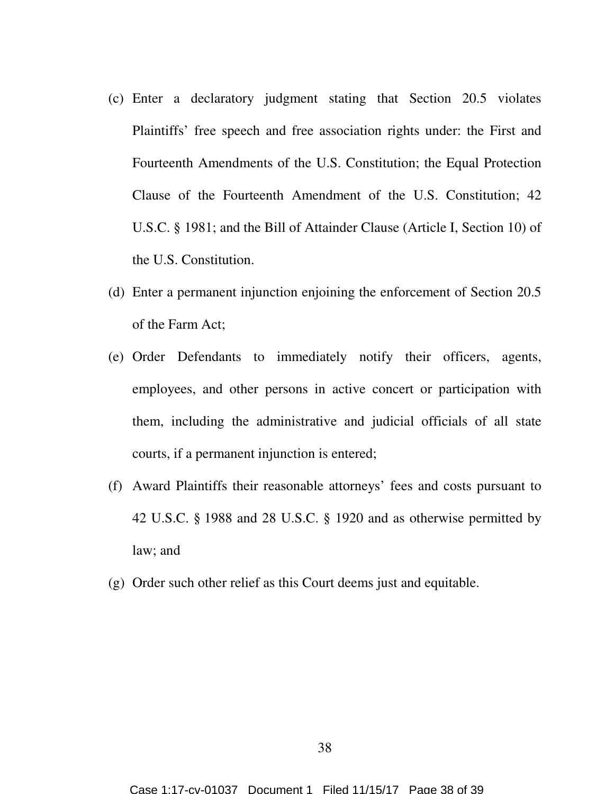- (c) Enter a declaratory judgment stating that Section 20.5 violates Plaintiffs' free speech and free association rights under: the First and Fourteenth Amendments of the U.S. Constitution; the Equal Protection Clause of the Fourteenth Amendment of the U.S. Constitution; 42 U.S.C. § 1981; and the Bill of Attainder Clause (Article I, Section 10) of the U.S. Constitution.
- (d) Enter a permanent injunction enjoining the enforcement of Section 20.5 of the Farm Act;
- (e) Order Defendants to immediately notify their officers, agents, employees, and other persons in active concert or participation with them, including the administrative and judicial officials of all state courts, if a permanent injunction is entered;
- (f) Award Plaintiffs their reasonable attorneys' fees and costs pursuant to 42 U.S.C. § 1988 and 28 U.S.C. § 1920 and as otherwise permitted by law; and
- (g) Order such other relief as this Court deems just and equitable.